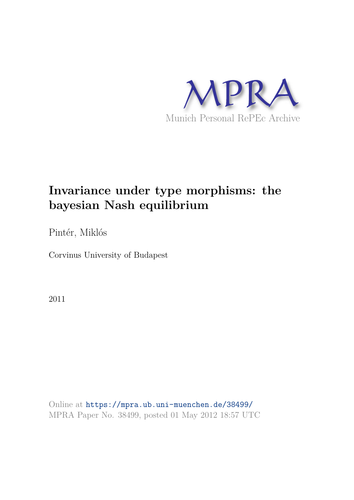

# **Invariance under type morphisms: the bayesian Nash equilibrium**

Pintér, Miklós

Corvinus University of Budapest

2011

Online at https://mpra.ub.uni-muenchen.de/38499/ MPRA Paper No. 38499, posted 01 May 2012 18:57 UTC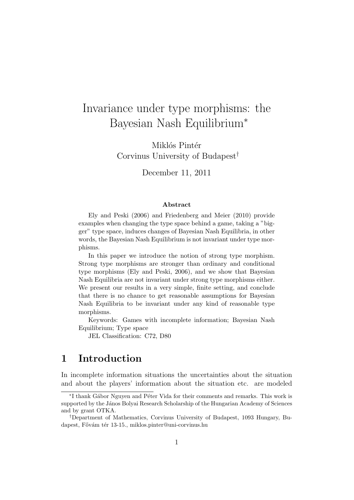# Invariance under type morphisms: the Bayesian Nash Equilibrium<sup>∗</sup>

Miklós Pintér Corvinus University of Budapest†

December 11, 2011

#### Abstract

Ely and Peski (2006) and Friedenberg and Meier (2010) provide examples when changing the type space behind a game, taking a "bigger" type space, induces changes of Bayesian Nash Equilibria, in other words, the Bayesian Nash Equilibrium is not invariant under type morphisms.

In this paper we introduce the notion of strong type morphism. Strong type morphisms are stronger than ordinary and conditional type morphisms (Ely and Peski, 2006), and we show that Bayesian Nash Equilibria are not invariant under strong type morphisms either. We present our results in a very simple, finite setting, and conclude that there is no chance to get reasonable assumptions for Bayesian Nash Equilibria to be invariant under any kind of reasonable type morphisms.

Keywords: Games with incomplete information; Bayesian Nash Equilibrium; Type space

JEL Classification: C72, D80

# 1 Introduction

In incomplete information situations the uncertainties about the situation and about the players' information about the situation etc. are modeled

<sup>\*</sup>I thank Gábor Nguyen and Péter Vida for their comments and remarks. This work is supported by the János Bolyai Research Scholarship of the Hungarian Academy of Sciences and by grant OTKA.

<sup>†</sup>Department of Mathematics, Corvinus University of Budapest, 1093 Hungary, Budapest, Fővám tér 13-15., miklos.pinter@uni-corvinus.hu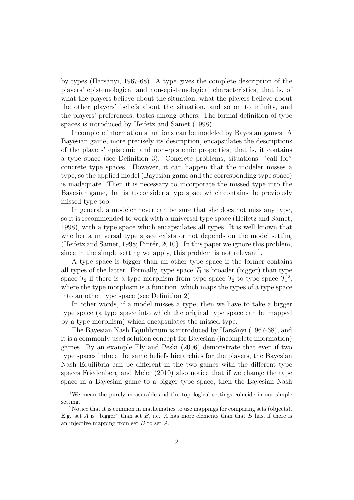by types (Harsányi, 1967-68). A type gives the complete description of the players' epistemological and non-epistemological characteristics, that is, of what the players believe about the situation, what the players believe about the other players' beliefs about the situation, and so on to infinity, and the players' preferences, tastes among others. The formal definition of type spaces is introduced by Heifetz and Samet (1998).

Incomplete information situations can be modeled by Bayesian games. A Bayesian game, more precisely its description, encapsulates the descriptions of the players' epistemic and non-epistemic properties, that is, it contains a type space (see Definition 3). Concrete problems, situations, "call for" concrete type spaces. However, it can happen that the modeler misses a type, so the applied model (Bayesian game and the corresponding type space) is inadequate. Then it is necessary to incorporate the missed type into the Bayesian game, that is, to consider a type space which contains the previously missed type too.

In general, a modeler never can be sure that she does not miss any type, so it is recommended to work with a universal type space (Heifetz and Samet, 1998), with a type space which encapsulates all types. It is well known that whether a universal type space exists or not depends on the model setting (Heifetz and Samet, 1998; Pintér, 2010). In this paper we ignore this problem, since in the simple setting we apply, this problem is not relevant<sup>1</sup>.

A type space is bigger than an other type space if the former contains all types of the latter. Formally, type space  $\mathcal{T}_1$  is broader (bigger) than type space  $\mathcal{T}_2$  if there is a type morphism from type space  $\mathcal{T}_2$  to type space  $\mathcal{T}_1^2$ ; where the type morphism is a function, which maps the types of a type space into an other type space (see Definition 2).

In other words, if a model misses a type, then we have to take a bigger type space (a type space into which the original type space can be mapped by a type morphism) which encapsulates the missed type.

The Bayesian Nash Equilibrium is introduced by Harsányi (1967-68), and it is a commonly used solution concept for Bayesian (incomplete information) games. By an example Ely and Peski (2006) demonstrate that even if two type spaces induce the same beliefs hierarchies for the players, the Bayesian Nash Equilibria can be different in the two games with the different type spaces Friedenberg and Meier (2010) also notice that if we change the type space in a Bayesian game to a bigger type space, then the Bayesian Nash

<sup>&</sup>lt;sup>1</sup>We mean the purely measurable and the topological settings coincide in our simple setting.

<sup>2</sup>Notice that it is common in mathematics to use mappings for comparing sets (objects). E.g. set A is "bigger" than set B, i.e. A has more elements than that B has, if there is an injective mapping from set  $B$  to set  $A$ .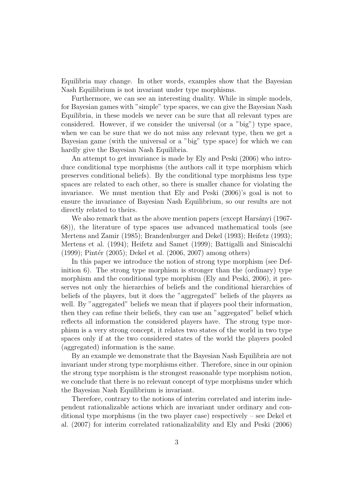Equilibria may change. In other words, examples show that the Bayesian Nash Equilibrium is not invariant under type morphisms.

Furthermore, we can see an interesting duality. While in simple models, for Bayesian games with "simple" type spaces, we can give the Bayesian Nash Equilibria, in these models we never can be sure that all relevant types are considered. However, if we consider the universal (or a "big") type space, when we can be sure that we do not miss any relevant type, then we get a Bayesian game (with the universal or a "big" type space) for which we can hardly give the Bayesian Nash Equilibria.

An attempt to get invariance is made by Ely and Peski (2006) who introduce conditional type morphisms (the authors call it type morphism which preserves conditional beliefs). By the conditional type morphisms less type spaces are related to each other, so there is smaller chance for violating the invariance. We must mention that Ely and Peski (2006)'s goal is not to ensure the invariance of Bayesian Nash Equilibrium, so our results are not directly related to theirs.

We also remark that as the above mention papers (except Harsányi (1967-68)), the literature of type spaces use advanced mathematical tools (see Mertens and Zamir (1985); Brandenburger and Dekel (1993); Heifetz (1993); Mertens et al. (1994); Heifetz and Samet (1999); Battigalli and Siniscalchi  $(1999)$ ; Pintér  $(2005)$ ; Dekel et al.  $(2006, 2007)$  among others)

In this paper we introduce the notion of strong type morphism (see Definition 6). The strong type morphism is stronger than the (ordinary) type morphism and the conditional type morphism (Ely and Peski, 2006), it preserves not only the hierarchies of beliefs and the conditional hierarchies of beliefs of the players, but it does the "aggregated" beliefs of the players as well. By "aggregated" beliefs we mean that if players pool their information, then they can refine their beliefs, they can use an "aggregated" belief which reflects all information the considered players have. The strong type morphism is a very strong concept, it relates two states of the world in two type spaces only if at the two considered states of the world the players pooled (aggregated) information is the same.

By an example we demonstrate that the Bayesian Nash Equilibria are not invariant under strong type morphisms either. Therefore, since in our opinion the strong type morphism is the strongest reasonable type morphism notion, we conclude that there is no relevant concept of type morphisms under which the Bayesian Nash Equilibrium is invariant.

Therefore, contrary to the notions of interim correlated and interim independent rationalizable actions which are invariant under ordinary and conditional type morphisms (in the two player case) respectively – see Dekel et al. (2007) for interim correlated rationalizability and Ely and Peski (2006)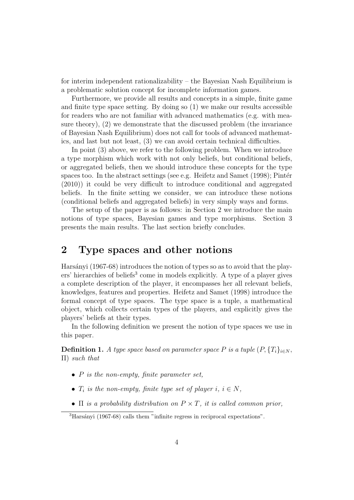for interim independent rationalizability – the Bayesian Nash Equilibrium is a problematic solution concept for incomplete information games.

Furthermore, we provide all results and concepts in a simple, finite game and finite type space setting. By doing so (1) we make our results accessible for readers who are not familiar with advanced mathematics (e.g. with measure theory), (2) we demonstrate that the discussed problem (the invariance of Bayesian Nash Equilibrium) does not call for tools of advanced mathematics, and last but not least, (3) we can avoid certain technical difficulties.

In point (3) above, we refer to the following problem. When we introduce a type morphism which work with not only beliefs, but conditional beliefs, or aggregated beliefs, then we should introduce these concepts for the type spaces too. In the abstract settings (see e.g. Heifetz and Samet  $(1998)$ ; Pintér (2010)) it could be very difficult to introduce conditional and aggregated beliefs. In the finite setting we consider, we can introduce these notions (conditional beliefs and aggregated beliefs) in very simply ways and forms.

The setup of the paper is as follows: in Section 2 we introduce the main notions of type spaces, Bayesian games and type morphisms. Section 3 presents the main results. The last section briefly concludes.

### 2 Type spaces and other notions

Harsányi (1967-68) introduces the notion of types so as to avoid that the players' hierarchies of beliefs<sup>3</sup> come in models explicitly. A type of a player gives a complete description of the player, it encompasses her all relevant beliefs, knowledges, features and properties. Heifetz and Samet (1998) introduce the formal concept of type spaces. The type space is a tuple, a mathematical object, which collects certain types of the players, and explicitly gives the players' beliefs at their types.

In the following definition we present the notion of type spaces we use in this paper.

**Definition 1.** A type space based on parameter space P is a tuple  $(P, \{T_i\}_{i \in N},$ Π) such that

- $P$  is the non-empty, finite parameter set,
- $T_i$  is the non-empty, finite type set of player i,  $i \in N$ ,
- $\Pi$  is a probability distribution on  $P \times T$ , it is called common prior,

 $3$ Harsányi (1967-68) calls them "infinite regress in reciprocal expectations".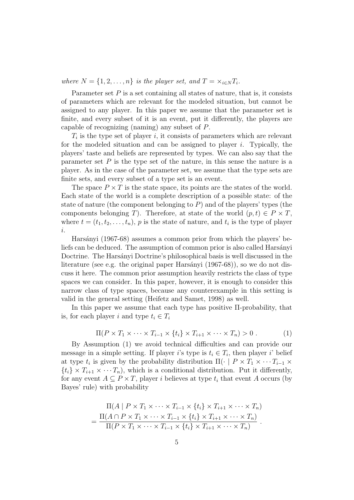where  $N = \{1, 2, ..., n\}$  is the player set, and  $T = \times_{i \in N} T_i$ .

Parameter set  $P$  is a set containing all states of nature, that is, it consists of parameters which are relevant for the modeled situation, but cannot be assigned to any player. In this paper we assume that the parameter set is finite, and every subset of it is an event, put it differently, the players are capable of recognizing (naming) any subset of P.

 $T_i$  is the type set of player i, it consists of parameters which are relevant for the modeled situation and can be assigned to player i. Typically, the players' taste and beliefs are represented by types. We can also say that the parameter set  $P$  is the type set of the nature, in this sense the nature is a player. As in the case of the parameter set, we assume that the type sets are finite sets, and every subset of a type set is an event.

The space  $P \times T$  is the state space, its points are the states of the world. Each state of the world is a complete description of a possible state: of the state of nature (the component belonging to  $P$ ) and of the players' types (the components belonging T). Therefore, at state of the world  $(p, t) \in P \times T$ , where  $t = (t_1, t_2, \ldots, t_n)$ , p is the state of nature, and  $t_i$  is the type of player i.

Harsányi (1967-68) assumes a common prior from which the players' beliefs can be deduced. The assumption of common prior is also called Harsányi Doctrine. The Harsányi Doctrine's philosophical basis is well discussed in the literature (see e.g. the original paper Harsányi  $(1967-68)$ ), so we do not discuss it here. The common prior assumption heavily restricts the class of type spaces we can consider. In this paper, however, it is enough to consider this narrow class of type spaces, because any counterexample in this setting is valid in the general setting (Heifetz and Samet, 1998) as well.

In this paper we assume that each type has positive Π-probability, that is, for each player i and type  $t_i \in T_i$ 

$$
\Pi(P \times T_1 \times \cdots \times T_{i-1} \times \{t_i\} \times T_{i+1} \times \cdots \times T_n) > 0.
$$
 (1)

By Assumption (1) we avoid technical difficulties and can provide our message in a simple setting. If player *i*'s type is  $t_i \in T_i$ , then player *i*' belief at type  $t_i$  is given by the probability distribution  $\Pi(\cdot \mid P \times T_1 \times \cdots T_{i-1} \times$  $\{t_i\} \times T_{i+1} \times \cdots T_n$ , which is a conditional distribution. Put it differently, for any event  $A \subseteq P \times T$ , player i believes at type  $t_i$  that event A occurs (by Bayes' rule) with probability

$$
\Pi(A \mid P \times T_1 \times \cdots \times T_{i-1} \times \{t_i\} \times T_{i+1} \times \cdots \times T_n)
$$
\n
$$
= \frac{\Pi(A \cap P \times T_1 \times \cdots \times T_{i-1} \times \{t_i\} \times T_{i+1} \times \cdots \times T_n)}{\Pi(P \times T_1 \times \cdots \times T_{i-1} \times \{t_i\} \times T_{i+1} \times \cdots \times T_n)}.
$$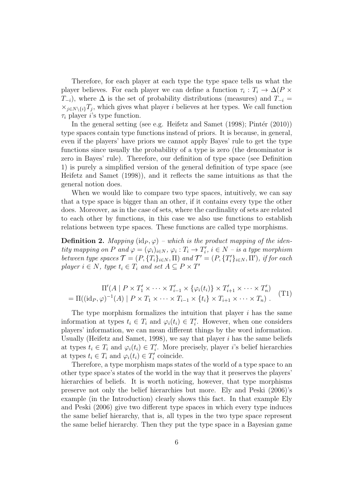Therefore, for each player at each type the type space tells us what the player believes. For each player we can define a function  $\tau_i: T_i \to \Delta(P \times$  $T_{-i}$ ), where  $\Delta$  is the set of probability distributions (measures) and  $T_{-i}$  =  $\times_{j\in N\setminus\{i\}}T_j$ , which gives what player i believes at her types. We call function  $\tau_i$  player *i*'s type function.

In the general setting (see e.g. Heifetz and Samet  $(1998)$ ; Pintér  $(2010)$ ) type spaces contain type functions instead of priors. It is because, in general, even if the players' have priors we cannot apply Bayes' rule to get the type functions since usually the probability of a type is zero (the denominator is zero in Bayes' rule). Therefore, our definition of type space (see Definition 1) is purely a simplified version of the general definition of type space (see Heifetz and Samet (1998)), and it reflects the same intuitions as that the general notion does.

When we would like to compare two type spaces, intuitively, we can say that a type space is bigger than an other, if it contains every type the other does. Moreover, as in the case of sets, where the cardinality of sets are related to each other by functions, in this case we also use functions to establish relations between type spaces. These functions are called type morphisms.

**Definition 2.** Mapping  $(id_P, \varphi)$  – which is the product mapping of the identity mapping on P and  $\varphi = (\varphi_i)_{i \in N}, \varphi_i : T_i \to T'_i, i \in N$  – is a type morphism between type spaces  $\mathcal{T} = (P, \{T_i\}_{i \in N}, \Pi)$  and  $\mathcal{T}' = (P, \{T'_i\}_{i \in N}, \Pi')$ , if for each player  $i \in N$ , type  $t_i \in T_i$  and set  $A \subseteq P \times T'$ 

$$
\Pi'(A \mid P \times T'_1 \times \cdots \times T'_{i-1} \times \{\varphi_i(t_i)\} \times T'_{i+1} \times \cdots \times T'_n)
$$
\n
$$
= \Pi((id_P, \varphi)^{-1}(A) \mid P \times T_1 \times \cdots \times T_{i-1} \times \{t_i\} \times T_{i+1} \times \cdots \times T_n).
$$
\n
$$
(T1)
$$

The type morphism formalizes the intuition that player  $i$  has the same information at types  $t_i \in T_i$  and  $\varphi_i(t_i) \in T'_i$ . However, when one considers players' information, we can mean different things by the word information. Usually (Heifetz and Samet, 1998), we say that player  $i$  has the same beliefs at types  $t_i \in T_i$  and  $\varphi_i(t_i) \in T'_i$ . More precisely, player i's belief hierarchies at types  $t_i \in T_i$  and  $\varphi_i(t_i) \in T'_i$  coincide.

Therefore, a type morphism maps states of the world of a type space to an other type space's states of the world in the way that it preserves the players' hierarchies of beliefs. It is worth noticing, however, that type morphisms preserve not only the belief hierarchies but more. Ely and Peski (2006)'s example (in the Introduction) clearly shows this fact. In that example Ely and Peski (2006) give two different type spaces in which every type induces the same belief hierarchy, that is, all types in the two type space represent the same belief hierarchy. Then they put the type space in a Bayesian game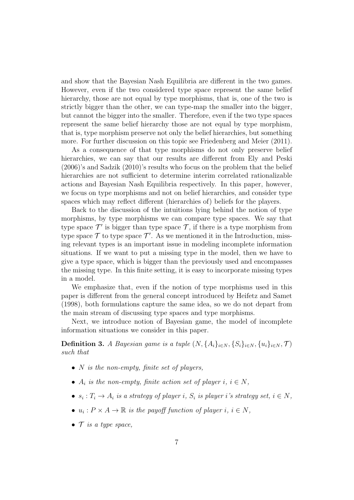and show that the Bayesian Nash Equilibria are different in the two games. However, even if the two considered type space represent the same belief hierarchy, those are not equal by type morphisms, that is, one of the two is strictly bigger than the other, we can type-map the smaller into the bigger, but cannot the bigger into the smaller. Therefore, even if the two type spaces represent the same belief hierarchy those are not equal by type morphism, that is, type morphism preserve not only the belief hierarchies, but something more. For further discussion on this topic see Friedenberg and Meier (2011).

As a consequence of that type morphisms do not only preserve belief hierarchies, we can say that our results are different from Ely and Peski (2006)'s and Sadzik (2010)'s results who focus on the problem that the belief hierarchies are not sufficient to determine interim correlated rationalizable actions and Bayesian Nash Equilibria respectively. In this paper, however, we focus on type morphisms and not on belief hierarchies, and consider type spaces which may reflect different (hierarchies of) beliefs for the players.

Back to the discussion of the intuitions lying behind the notion of type morphisms, by type morphisms we can compare type spaces. We say that type space  $\mathcal{T}'$  is bigger than type space  $\mathcal{T}$ , if there is a type morphism from type space  $\mathcal T$  to type space  $\mathcal T'$ . As we mentioned it in the Introduction, missing relevant types is an important issue in modeling incomplete information situations. If we want to put a missing type in the model, then we have to give a type space, which is bigger than the previously used and encompasses the missing type. In this finite setting, it is easy to incorporate missing types in a model.

We emphasize that, even if the notion of type morphisms used in this paper is different from the general concept introduced by Heifetz and Samet (1998), both formulations capture the same idea, so we do not depart from the main stream of discussing type spaces and type morphisms.

Next, we introduce notion of Bayesian game, the model of incomplete information situations we consider in this paper.

**Definition 3.** A Bayesian game is a tuple  $(N, \{A_i\}_{i\in N}, \{S_i\}_{i\in N}, \{u_i\}_{i\in N}, \mathcal{T})$ such that

- $N$  is the non-empty, finite set of players,
- $A_i$  is the non-empty, finite action set of player  $i, i \in N$ ,
- $s_i: T_i \to A_i$  is a strategy of player i,  $S_i$  is player i's strategy set,  $i \in N$ ,
- $u_i : P \times A \to \mathbb{R}$  is the payoff function of player  $i, i \in N$ ,
- $\mathcal T$  is a type space,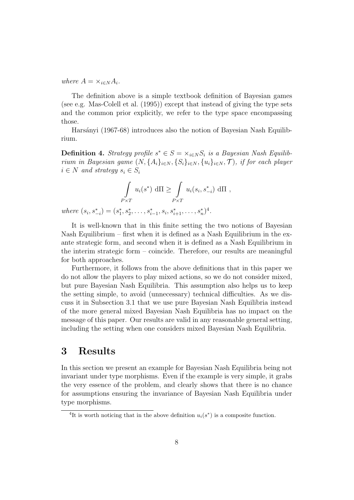where  $A = \times_{i \in N} A_i$ .

The definition above is a simple textbook definition of Bayesian games (see e.g. Mas-Colell et al. (1995)) except that instead of giving the type sets and the common prior explicitly, we refer to the type space encompassing those.

Harsányi (1967-68) introduces also the notion of Bayesian Nash Equilibrium.

**Definition 4.** Strategy profile  $s^* \in S = \times_{i \in N} S_i$  is a Bayesian Nash Equilibrium in Bayesian game  $(N, \{A_i\}_{i\in N}, \{S_i\}_{i\in N}, \{u_i\}_{i\in N}, \mathcal{T})$ , if for each player  $i \in N$  and strategy  $s_i \in S_i$ 

$$
\int_{P \times T} u_i(s^*) \, d\Pi \ge \int_{P \times T} u_i(s_i, s_{-i}^*) \, d\Pi ,
$$

where  $(s_i, s_{-i}^*) = (s_1^*, s_2^*, \ldots, s_{i-1}^*, s_i, s_{i+1}^*, \ldots, s_n^*)^4$ .

It is well-known that in this finite setting the two notions of Bayesian Nash Equilibrium – first when it is defined as a Nash Equilibrium in the exante strategic form, and second when it is defined as a Nash Equilibrium in the interim strategic form – coincide. Therefore, our results are meaningful for both approaches.

Furthermore, it follows from the above definitions that in this paper we do not allow the players to play mixed actions, so we do not consider mixed, but pure Bayesian Nash Equilibria. This assumption also helps us to keep the setting simple, to avoid (unnecessary) technical difficulties. As we discuss it in Subsection 3.1 that we use pure Bayesian Nash Equilibria instead of the more general mixed Bayesian Nash Equilibria has no impact on the message of this paper. Our results are valid in any reasonable general setting, including the setting when one considers mixed Bayesian Nash Equilibria.

# 3 Results

In this section we present an example for Bayesian Nash Equilibria being not invariant under type morphisms. Even if the example is very simple, it grabs the very essence of the problem, and clearly shows that there is no chance for assumptions ensuring the invariance of Bayesian Nash Equilibria under type morphisms.

<sup>&</sup>lt;sup>4</sup>It is worth noticing that in the above definition  $u_i(s^*)$  is a composite function.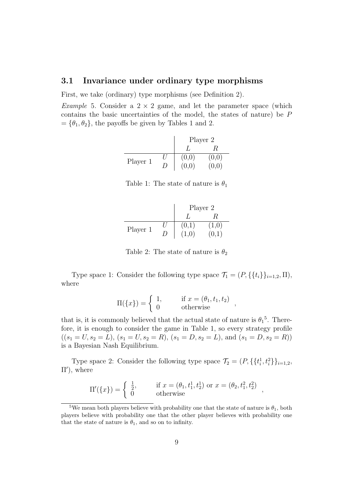### 3.1 Invariance under ordinary type morphisms

First, we take (ordinary) type morphisms (see Definition 2).

*Example* 5. Consider a  $2 \times 2$  game, and let the parameter space (which contains the basic uncertainties of the model, the states of nature) be P  $= {\theta_1, \theta_2},$  the payoffs be given by Tables 1 and 2.

|          |    | Player 2 |  |
|----------|----|----------|--|
|          |    |          |  |
| Player 1 |    | (0,0)    |  |
|          | 1) | (0,0)    |  |

| Table 1: The state of nature is $\theta_1$ |  |  |  |  |
|--------------------------------------------|--|--|--|--|
|--------------------------------------------|--|--|--|--|

|          | Player 2 |      |
|----------|----------|------|
|          |          |      |
| Player 1 | (0,1)    | 1,0) |
|          | (1,0)    |      |

Table 2: The state of nature is  $\theta_2$ 

Type space 1: Consider the following type space  $\mathcal{T}_1 = (P, \{\{t_i\}\}_{i=1,2}, \Pi)$ , where

$$
\Pi({x}) = \begin{cases} 1, & \text{if } x = (\theta_1, t_1, t_2) \\ 0 & \text{otherwise} \end{cases}
$$

that is, it is commonly believed that the actual state of nature is  $\theta_1^5$ . Therefore, it is enough to consider the game in Table 1, so every strategy profile  $((s_1 = U, s_2 = \tilde{L}), (s_1 = U, s_2 = R), (s_1 = D, s_2 = L), \text{ and } (s_1 = D, s_2 = R))$ is a Bayesian Nash Equilibrium.

Type space 2: Consider the following type space  $\mathcal{T}_2 = (P, \{t_i^1\})$  $\{^1_i, t^2_i\}$ <sub>i=1,2</sub>, Π′ ), where

$$
\Pi'(\{x\}) = \begin{cases} \frac{1}{2}, & \text{if } x = (\theta_1, t_1^1, t_2^1) \text{ or } x = (\theta_2, t_1^2, t_2^2) \\ 0 & \text{otherwise} \end{cases}
$$

<sup>&</sup>lt;sup>5</sup>We mean both players believe with probability one that the state of nature is  $\theta_1$ , both players believe with probability one that the other player believes with probability one that the state of nature is  $\theta_1$ , and so on to infinity.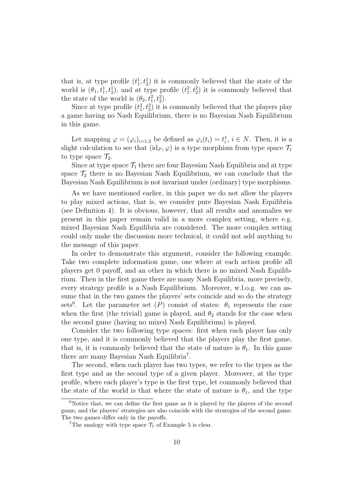that is, at type profile  $(t_1^1, t_2^1)$  it is commonly believed that the state of the world is  $(\theta_1, t_1^1, t_2^1)$ , and at type profile  $(t_1^2, t_2^2)$  it is commonly believed that the state of the world is  $(\theta_2, t_1^2, t_2^2)$ .

Since at type profile  $(t_1^2, t_2^2)$  it is commonly believed that the players play a game having no Nash Equilibrium, there is no Bayesian Nash Equilibrium in this game.

Let mapping  $\varphi = (\varphi_i)_{i=1,2}$  be defined as  $\varphi_i(t_i) = t_i^1$  $i_i^1$ ,  $i \in N$ . Then, it is a slight calculation to see that  $(id_P, \varphi)$  is a type morphism from type space  $\mathcal{T}_1$ to type space  $\mathcal{T}_2$ .

Since at type space  $\mathcal{T}_1$  there are four Bayesian Nash Equilibria and at type space  $\mathcal{T}_2$  there is no Bayesian Nash Equilibrium, we can conclude that the Bayesian Nash Equilibrium is not invariant under (ordinary) type morphisms.

As we have mentioned earlier, in this paper we do not allow the players to play mixed actions, that is, we consider pure Bayesian Nash Equilibria (see Definition 4). It is obvious, however, that all results and anomalies we present in this paper remain valid in a more complex setting, where e.g. mixed Bayesian Nash Equilibria are considered. The more complex setting could only make the discussion more technical, it could not add anything to the message of this paper.

In order to demonstrate this argument, consider the following example. Take two complete information game, one where at each action profile all players get 0 payoff, and an other in which there is no mixed Nash Equilibrium. Then in the first game there are many Nash Equilibria, more precisely, every strategy profile is a Nash Equilibrium. Moreover, w.l.o.g. we can assume that in the two games the players' sets coincide and so do the strategy sets<sup>6</sup>. Let the parameter set  $(P)$  consist of states:  $\theta_1$  represents the case when the first (the trivial) game is played, and  $\theta_2$  stands for the case when the second game (having no mixed Nash Equilibrium) is played.

Consider the two following type spaces: first when each player has only one type, and it is commonly believed that the players play the first game, that is, it is commonly believed that the state of nature is  $\theta_1$ . In this game there are many Bayesian Nash Equilibria<sup>7</sup>.

The second, when each player has two types, we refer to the types as the first type and as the second type of a given player. Moreover, at the type profile, where each player's type is the first type, let commonly believed that the state of the world is that where the state of nature is  $\theta_1$ , and the type

 $6$ Notice that, we can define the first game as it is played by the players of the second game, and the players' strategies are also coincide with the strategies of the second game. The two games differ only in the payoffs.

<sup>&</sup>lt;sup>7</sup>The analogy with type space  $\mathcal{T}_1$  of Example 5 is clear.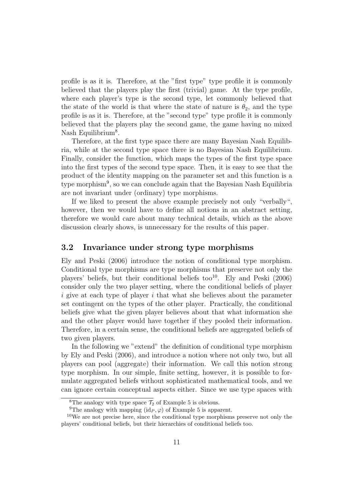profile is as it is. Therefore, at the "first type" type profile it is commonly believed that the players play the first (trivial) game. At the type profile, where each player's type is the second type, let commonly believed that the state of the world is that where the state of nature is  $\theta_2$ , and the type profile is as it is. Therefore, at the "second type" type profile it is commonly believed that the players play the second game, the game having no mixed Nash Equilibrium<sup>8</sup>.

Therefore, at the first type space there are many Bayesian Nash Equilibria, while at the second type space there is no Bayesian Nash Equilibrium. Finally, consider the function, which maps the types of the first type space into the first types of the second type space. Then, it is easy to see that the product of the identity mapping on the parameter set and this function is a type morphism<sup>9</sup>, so we can conclude again that the Bayesian Nash Equilibria are not invariant under (ordinary) type morphisms.

If we liked to present the above example precisely not only "verbally", however, then we would have to define all notions in an abstract setting, therefore we would care about many technical details, which as the above discussion clearly shows, is unnecessary for the results of this paper.

### 3.2 Invariance under strong type morphisms

Ely and Peski (2006) introduce the notion of conditional type morphism. Conditional type morphisms are type morphisms that preserve not only the players' beliefs, but their conditional beliefs too<sup>10</sup>. Ely and Peski  $(2006)$ consider only the two player setting, where the conditional beliefs of player i give at each type of player i that what she believes about the parameter set contingent on the types of the other player. Practically, the conditional beliefs give what the given player believes about that what information she and the other player would have together if they pooled their information. Therefore, in a certain sense, the conditional beliefs are aggregated beliefs of two given players.

In the following we "extend" the definition of conditional type morphism by Ely and Peski (2006), and introduce a notion where not only two, but all players can pool (aggregate) their information. We call this notion strong type morphism. In our simple, finite setting, however, it is possible to formulate aggregated beliefs without sophisticated mathematical tools, and we can ignore certain conceptual aspects either. Since we use type spaces with

<sup>&</sup>lt;sup>8</sup>The analogy with type space  $\mathcal{T}_2$  of Example 5 is obvious.

<sup>&</sup>lt;sup>9</sup>The analogy with mapping  $(id_P, \varphi)$  of Example 5 is apparent.

<sup>&</sup>lt;sup>10</sup>We are not precise here, since the conditional type morphisms preserve not only the players' conditional beliefs, but their hierarchies of conditional beliefs too.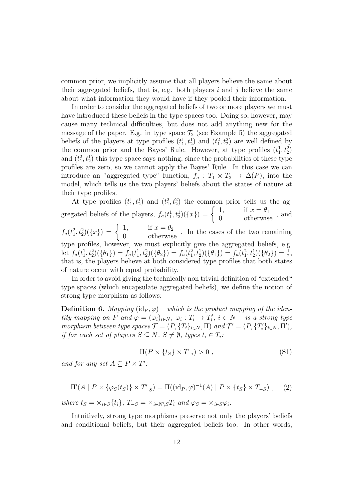common prior, we implicitly assume that all players believe the same about their aggregated beliefs, that is, e.g. both players i and j believe the same about what information they would have if they pooled their information.

In order to consider the aggregated beliefs of two or more players we must have introduced these beliefs in the type spaces too. Doing so, however, may cause many technical difficulties, but does not add anything new for the message of the paper. E.g. in type space  $\mathcal{T}_2$  (see Example 5) the aggregated beliefs of the players at type profiles  $(t_1^1, t_2^1)$  and  $(t_1^2, t_2^2)$  are well defined by the common prior and the Bayes' Rule. However, at type profiles  $(t_1^1, t_2^2)$ and  $(t_1^2, t_2^1)$  this type space says nothing, since the probabilities of these type profiles are zero, so we cannot apply the Bayes' Rule. In this case we can introduce an "aggregated type" function,  $f_a: T_1 \times T_2 \to \Delta(P)$ , into the model, which tells us the two players' beliefs about the states of nature at their type profiles.

At type profiles  $(t_1^1, t_2^1)$  and  $(t_1^2, t_2^2)$  the common prior tells us the ag- $_1, \iota_2$ ) and  $(\iota_1, \iota_2)$ gregated beliefs of the players,  $f_a(t_1^1, t_2^1)(\lbrace x \rbrace) = \begin{cases} 1, & \text{if } x = \theta_1 \\ 0, & \text{otherwise} \end{cases}$ , and

 $f_a(t_1^2, t_2^2)(\lbrace x \rbrace) = \begin{cases} 1, & \text{if } x = \theta_2 \\ 0 & \text{otherwise} \end{cases}$ . In the cases of the two remaining type profiles, however, we must explicitly give the aggregated beliefs, e.g. let  $f_a(t_1^1, t_2^2)(\{\theta_1\}) = f_a(t_1^1, t_2^2)(\{\theta_2\}) = f_a(t_1^2, t_2^1)(\{\theta_1\}) = f_a(t_1^2, t_2^1)(\{\theta_2\}) = \frac{1}{2}$ that is, the players believe at both considered type profiles that both states of nature occur with equal probability.

In order to avoid giving the technically non trivial definition of "extended" type spaces (which encapsulate aggregated beliefs), we define the notion of strong type morphism as follows:

**Definition 6.** Mapping (id<sub>P</sub>,  $\varphi$ ) – which is the product mapping of the identity mapping on P and  $\varphi = (\varphi_i)_{i \in N}$ ,  $\varphi_i : T_i \to T'_i$ ,  $i \in N$  – is a strong type morphism between type spaces  $\mathcal{T} = (P, \{T_i\}_{i \in N}, \Pi)$  and  $\mathcal{T}' = (P, \{T'_i\}_{i \in N}, \Pi')$ , if for each set of players  $S \subseteq N$ ,  $S \neq \emptyset$ , types  $t_i \in T_i$ :

$$
\Pi(P \times \{t_S\} \times T_{-i}) > 0 , \qquad (S1)
$$

and for any set  $A \subseteq P \times T'$ :

$$
\Pi'(A \mid P \times \{\varphi_S(t_S)\} \times T'_{-S}) = \Pi((\mathrm{id}_P, \varphi)^{-1}(A) \mid P \times \{t_S\} \times T_{-S}), \quad (2)
$$

where  $t_S = \times_{i \in S} \{t_i\}$ ,  $T_{-S} = \times_{i \in N \setminus S} T_i$  and  $\varphi_S = \times_{i \in S} \varphi_i$ .

Intuitively, strong type morphisms preserve not only the players' beliefs and conditional beliefs, but their aggregated beliefs too. In other words,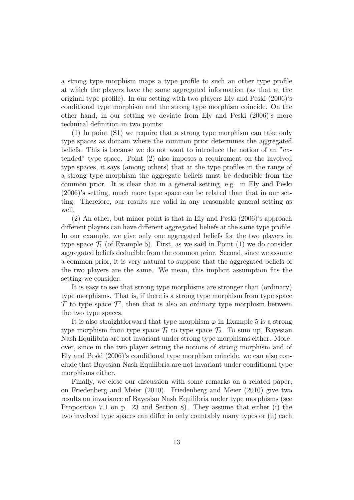a strong type morphism maps a type profile to such an other type profile at which the players have the same aggregated information (as that at the original type profile). In our setting with two players Ely and Peski (2006)'s conditional type morphism and the strong type morphism coincide. On the other hand, in our setting we deviate from Ely and Peski (2006)'s more technical definition in two points:

(1) In point (S1) we require that a strong type morphism can take only type spaces as domain where the common prior determines the aggregated beliefs. This is because we do not want to introduce the notion of an "extended" type space. Point (2) also imposes a requirement on the involved type spaces, it says (among others) that at the type profiles in the range of a strong type morphism the aggregate beliefs must be deducible from the common prior. It is clear that in a general setting, e.g. in Ely and Peski (2006)'s setting, much more type space can be related than that in our setting. Therefore, our results are valid in any reasonable general setting as well.

(2) An other, but minor point is that in Ely and Peski (2006)'s approach different players can have different aggregated beliefs at the same type profile. In our example, we give only one aggregated beliefs for the two players in type space  $\mathcal{T}_1$  (of Example 5). First, as we said in Point (1) we do consider aggregated beliefs deducible from the common prior. Second, since we assume a common prior, it is very natural to suppose that the aggregated beliefs of the two players are the same. We mean, this implicit assumption fits the setting we consider.

It is easy to see that strong type morphisms are stronger than (ordinary) type morphisms. That is, if there is a strong type morphism from type space  $\mathcal T$  to type space  $\mathcal T'$ , then that is also an ordinary type morphism between the two type spaces.

It is also straightforward that type morphism  $\varphi$  in Example 5 is a strong type morphism from type space  $\mathcal{T}_1$  to type space  $\mathcal{T}_2$ . To sum up, Bayesian Nash Equilibria are not invariant under strong type morphisms either. Moreover, since in the two player setting the notions of strong morphism and of Ely and Peski (2006)'s conditional type morphism coincide, we can also conclude that Bayesian Nash Equilibria are not invariant under conditional type morphisms either.

Finally, we close our discussion with some remarks on a related paper, on Friedenberg and Meier (2010). Friedenberg and Meier (2010) give two results on invariance of Bayesian Nash Equilibria under type morphisms (see Proposition 7.1 on p. 23 and Section 8). They assume that either (i) the two involved type spaces can differ in only countably many types or (ii) each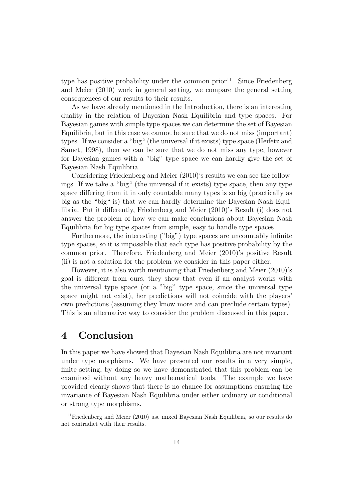type has positive probability under the common prior<sup>11</sup>. Since Friedenberg and Meier (2010) work in general setting, we compare the general setting consequences of our results to their results.

As we have already mentioned in the Introduction, there is an interesting duality in the relation of Bayesian Nash Equilibria and type spaces. For Bayesian games with simple type spaces we can determine the set of Bayesian Equilibria, but in this case we cannot be sure that we do not miss (important) types. If we consider a "big" (the universal if it exists) type space (Heifetz and Samet, 1998), then we can be sure that we do not miss any type, however for Bayesian games with a "big" type space we can hardly give the set of Bayesian Nash Equilibria.

Considering Friedenberg and Meier (2010)'s results we can see the followings. If we take a "big" (the universal if it exists) type space, then any type space differing from it in only countable many types is so big (practically as big as the "big" is) that we can hardly determine the Bayesian Nash Equilibria. Put it differently, Friedenberg and Meier (2010)'s Result (i) does not answer the problem of how we can make conclusions about Bayesian Nash Equilibria for big type spaces from simple, easy to handle type spaces.

Furthermore, the interesting ("big") type spaces are uncountably infinite type spaces, so it is impossible that each type has positive probability by the common prior. Therefore, Friedenberg and Meier (2010)'s positive Result (ii) is not a solution for the problem we consider in this paper either.

However, it is also worth mentioning that Friedenberg and Meier (2010)'s goal is different from ours, they show that even if an analyst works with the universal type space (or a "big" type space, since the universal type space might not exist), her predictions will not coincide with the players' own predictions (assuming they know more and can preclude certain types). This is an alternative way to consider the problem discussed in this paper.

### 4 Conclusion

In this paper we have showed that Bayesian Nash Equilibria are not invariant under type morphisms. We have presented our results in a very simple, finite setting, by doing so we have demonstrated that this problem can be examined without any heavy mathematical tools. The example we have provided clearly shows that there is no chance for assumptions ensuring the invariance of Bayesian Nash Equilibria under either ordinary or conditional or strong type morphisms.

<sup>11</sup>Friedenberg and Meier (2010) use mixed Bayesian Nash Equilibria, so our results do not contradict with their results.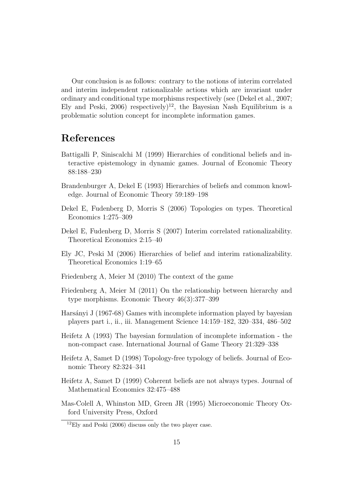Our conclusion is as follows: contrary to the notions of interim correlated and interim independent rationalizable actions which are invariant under ordinary and conditional type morphisms respectively (see (Dekel et al., 2007; Ely and Peski, 2006) respectively<sup>12</sup>, the Bayesian Nash Equilibrium is a problematic solution concept for incomplete information games.

## References

- Battigalli P, Siniscalchi M (1999) Hierarchies of conditional beliefs and interactive epistemology in dynamic games. Journal of Economic Theory 88:188–230
- Brandenburger A, Dekel E (1993) Hierarchies of beliefs and common knowledge. Journal of Economic Theory 59:189–198
- Dekel E, Fudenberg D, Morris S (2006) Topologies on types. Theoretical Economics 1:275–309
- Dekel E, Fudenberg D, Morris S (2007) Interim correlated rationalizability. Theoretical Economics 2:15–40
- Ely JC, Peski M (2006) Hierarchies of belief and interim rationalizability. Theoretical Economics 1:19–65
- Friedenberg A, Meier M (2010) The context of the game
- Friedenberg A, Meier M (2011) On the relationship between hierarchy and type morphisms. Economic Theory 46(3):377–399
- Harsányi J (1967-68) Games with incomplete information played by bayesian players part i., ii., iii. Management Science 14:159–182, 320–334, 486–502
- Heifetz A (1993) The bayesian formulation of incomplete information the non-compact case. International Journal of Game Theory 21:329–338
- Heifetz A, Samet D (1998) Topology-free typology of beliefs. Journal of Economic Theory 82:324–341
- Heifetz A, Samet D (1999) Coherent beliefs are not always types. Journal of Mathematical Economics 32:475–488
- Mas-Colell A, Whinston MD, Green JR (1995) Microeconomic Theory Oxford University Press, Oxford

 $^{12}$ Ely and Peski (2006) discuss only the two player case.